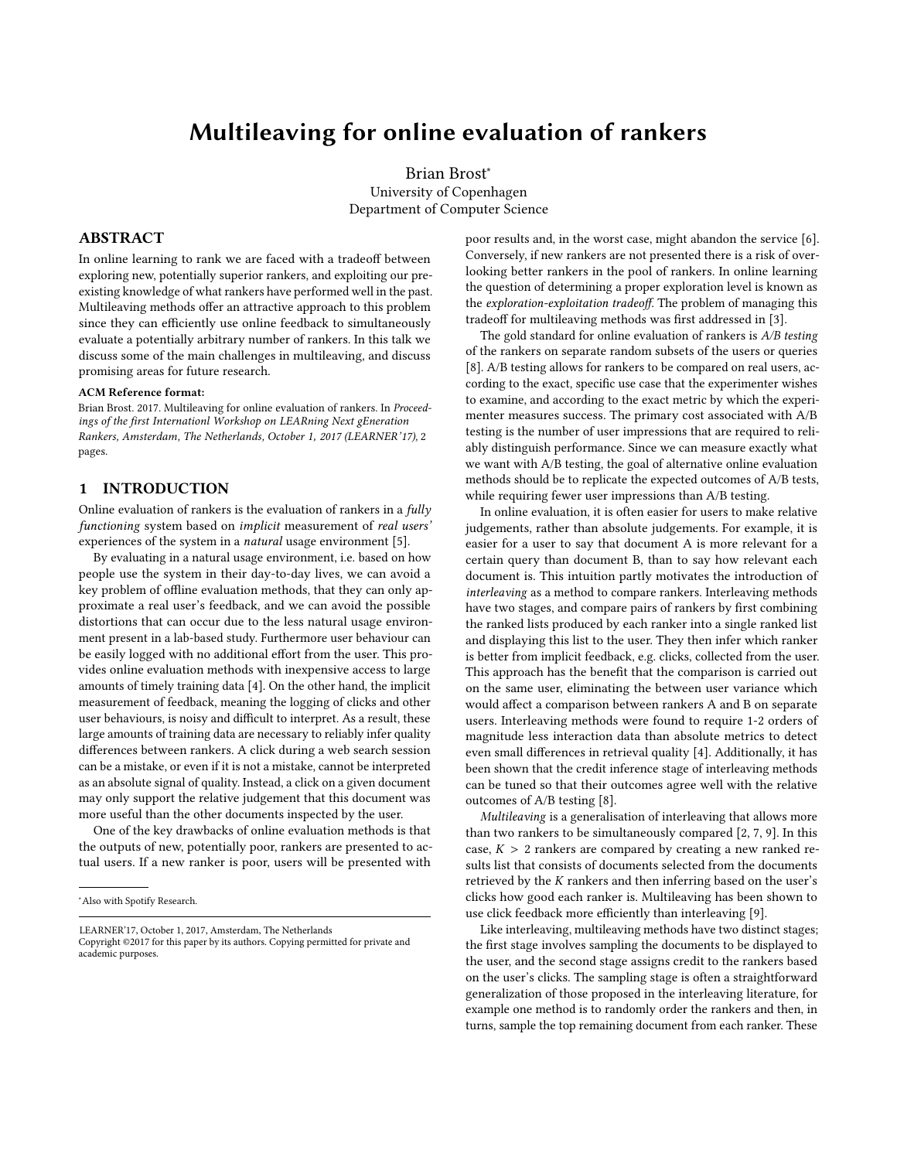# Multileaving for online evaluation of rankers

Brian Brost<sup>∗</sup> University of Copenhagen Department of Computer Science

### ABSTRACT

In online learning to rank we are faced with a tradeoff between exploring new, potentially superior rankers, and exploiting our preexisting knowledge of what rankers have performed well in the past. Multileaving methods offer an attractive approach to this problem since they can efficiently use online feedback to simultaneously evaluate a potentially arbitrary number of rankers. In this talk we discuss some of the main challenges in multileaving, and discuss promising areas for future research.

#### ACM Reference format:

Brian Brost. 2017. Multileaving for online evaluation of rankers. In Proceedings of *the first Internationl Workshop on LEARning Next gEneration [Ra](#page-1-0)nkers*, *Amsterdam*, *The Netherlands*, *October 1,* 2017 (*LEARNER*'17), 2 [pages.](https://doi.org/10.1145/nnnnnnn.nnnnnnn)

## 1 INTRODUCTION

Online evaluation of rankers is the evaluation of rankers in a  $fully$ functioning system based on implicit measurement of real users' experiences of the system in a natural usage environment [\[5\]](#page-1-1).

By evaluating in a natural usage environment, i.e. based on how people use the system in their day-to-day lives, we can avoid a key problem of offline evaluation methods, that they can only approximate a real user's feedback, and we can avoid the possible distortions that can occur due to the less natural usage environment present in a lab-based study. Furthermore user behaviour can be easily logged with no additional effort from the user. This provides online evaluation methods with inexpensive access to large amounts of timely training data [\[4\]](#page-1-2). On the other hand, the implicit measurement of feedback, meaning the logging of clicks and other user behaviours, is noisy and difficult to interpret. As a result, these large amounts of training data are necessary to reliably infer quality differences between rankers. A click during a web search session can be a mistake, or even if it is not a mistake, cannot be interpreted as an absolute signal of quality. Instead, a click on a given document may only support the relative judgement that this document was more useful than the other documents inspected by the user.

One of the key drawbacks of online evaluation methods is that the outputs of new, potentially poor, rankers are presented to actual users. If a new ranker is poor, users will be presented with

LEARNER'17, October 1, 2017, Amsterdam, The Netherlands

poor results and, in the worst case, might abandon the service [\[6\]](#page-1-3). Conversely, if new rankers are not presented there is a risk of overlooking better rankers in the pool of rankers. In online learning the question of determining a proper exploration level is known as the exploration-exploitation tradeoff. The problem of managing this tradeoff for multileaving methods was first addressed in [\[3\]](#page-1-4).

The gold standard for online evaluation of rankers is  $A/B$  testing of the rankers on separate random subsets of the users or queries [\[8\]](#page-1-5). A/B testing allows for rankers to be compared on real users, according to the exact, specific use case that the experimenter wishes to examine, and according to the exact metric by which the experimenter measures success. The primary cost associated with A/B testing is the number of user impressions that are required to reliably distinguish performance. Since we can measure exactly what we want with A/B testing, the goal of alternative online evaluation methods should be to replicate the expected outcomes of A/B tests, while requiring fewer user impressions than A/B testing.

In online evaluation, it is often easier for users to make relative judgements, rather than absolute judgements. For example, it is easier for a user to say that document A is more relevant for a certain query than document B, than to say how relevant each document is. This intuition partly motivates the introduction of interleaving as a method to compare rankers. Interleaving methods have two stages, and compare pairs of rankers by first combining the ranked lists produced by each ranker into a single ranked list and displaying this list to the user. They then infer which ranker is better from implicit feedback, e.g. clicks, collected from the user. This approach has the benefit that the comparison is carried out on the same user, eliminating the between user variance which would affect a comparison between rankers A and B on separate users. Interleaving methods were found to require 1-2 orders of magnitude less interaction data than absolute metrics to detect even small differences in retrieval quality [\[4\]](#page-1-2). Additionally, it has been shown that the credit inference stage of interleaving methods can be tuned so that their outcomes agree well with the relative outcomes of A/B testing [\[8\]](#page-1-5).

Multileaving is a generalisation of interleaving that allows more than two rankers to be simultaneously compared [\[2,](#page-1-6) [7,](#page-1-7) [9\]](#page-1-8). In this case,  $K > 2$  rankers are compared by creating a new ranked results list that consists of documents selected from the documents retrieved by the K rankers and then inferring based on the user's clicks how good each ranker is. Multileaving has been shown to use click feedback more efficiently than interleaving [\[9\]](#page-1-8).

Like interleaving, multileaving methods have two distinct stages; the first stage involves sampling the documents to be displayed to the user, and the second stage assigns credit to the rankers based on the user's clicks. The sampling stage is often a straightforward generalization of those proposed in the interleaving literature, for example one method is to randomly order the rankers and then, in turns, sample the top remaining document from each ranker. These

<sup>∗</sup>Also with Spotify Research.

Copyright ©2017 for this paper by its authors. Copying permitted for private and academic purposes.